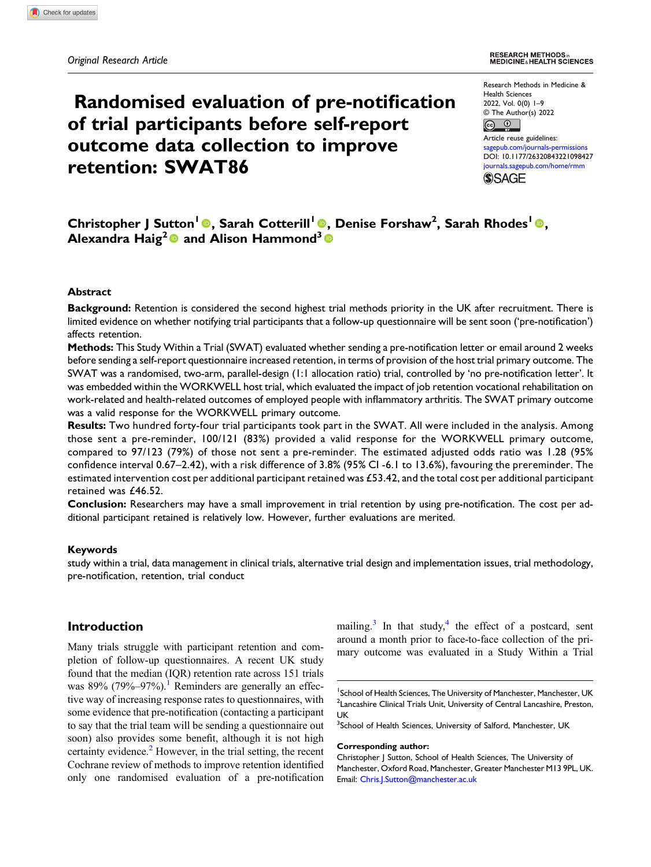# Randomised evaluation of pre-notification of trial participants before self-report outcome data collection to improve retention: SWAT86

Research Methods in Medicine & Health Sciences 2022, Vol. 0(0) 1–9 © The Author(s) 2022  $\boxed{6}$   $\boxed{0}$ 

Article reuse guidelines: [sagepub.com/journals-permissions](https://uk.sagepub.com/en-gb/journals-permissions) DOI: [10.1177/26320843221098427](https://doi.org/10.1177/26320843221098427) [journals.sagepub.com/home/rmm](https://journals.sagepub.com/home/rmm) **SSAGE** 

## Christopher J Sutton<sup>l</sup> ©, Sarah Cotterill<sup>l</sup> ©, Denise Forshaw<sup>2</sup>, Sarah Rhodes<sup>l</sup> ©, Alexandra Haig<sup>2</sup> and Alison Hammond<sup>3</sup>

#### Abstract

Background: Retention is considered the second highest trial methods priority in the UK after recruitment. There is limited evidence on whether notifying trial participants that a follow-up questionnaire will be sent soon ('pre-notification') affects retention.

Methods: This Study Within a Trial (SWAT) evaluated whether sending a pre-notification letter or email around 2 weeks before sending a self-report questionnaire increased retention, in terms of provision of the host trial primary outcome. The SWAT was a randomised, two-arm, parallel-design (1:1 allocation ratio) trial, controlled by 'no pre-notification letter'. It was embedded within the WORKWELL host trial, which evaluated the impact of job retention vocational rehabilitation on work-related and health-related outcomes of employed people with inflammatory arthritis. The SWAT primary outcome was a valid response for the WORKWELL primary outcome.

Results: Two hundred forty-four trial participants took part in the SWAT. All were included in the analysis. Among those sent a pre-reminder, 100/121 (83%) provided a valid response for the WORKWELL primary outcome, compared to 97/123 (79%) of those not sent a pre-reminder. The estimated adjusted odds ratio was 1.28 (95% confidence interval 0.67–2.42), with a risk difference of 3.8% (95% CI -6.1 to 13.6%), favouring the prereminder. The estimated intervention cost per additional participant retained was £53.42, and the total cost per additional participant retained was £46.52.

Conclusion: Researchers may have a small improvement in trial retention by using pre-notification. The cost per additional participant retained is relatively low. However, further evaluations are merited.

#### Keywords

study within a trial, data management in clinical trials, alternative trial design and implementation issues, trial methodology, pre-notification, retention, trial conduct

## Introduction

Many trials struggle with participant retention and completion of follow-up questionnaires. A recent UK study found that the median (IQR) retention rate across 151 trials was  $89\%$  (79%–97%).<sup>[1](#page-8-0)</sup> Reminders are generally an effective way of increasing response rates to questionnaires, with some evidence that pre-notification (contacting a participant to say that the trial team will be sending a questionnaire out soon) also provides some benefit, although it is not high certainty evidence.<sup>[2](#page-8-1)</sup> However, in the trial setting, the recent Cochrane review of methods to improve retention identified only one randomised evaluation of a pre-notification mailing.<sup>[3](#page-8-2)</sup> In that study,<sup>[4](#page-8-3)</sup> the effect of a postcard, sent around a month prior to face-to-face collection of the primary outcome was evaluated in a Study Within a Trial

#### Corresponding author:

<sup>&</sup>lt;sup>1</sup>School of Health Sciences, The University of Manchester, Manchester, UK <sup>2</sup> Lancashire Clinical Trials Unit, University of Central Lancashire, Preston, UK

<sup>&</sup>lt;sup>3</sup>School of Health Sciences, University of Salford, Manchester, UK

Christopher J Sutton, School of Health Sciences, The University of Manchester, Oxford Road, Manchester, Greater Manchester M13 9PL, UK. Email: [Chris.J.Sutton@manchester.ac.uk](mailto:Chris.J.Sutton@manchester.ac.uk)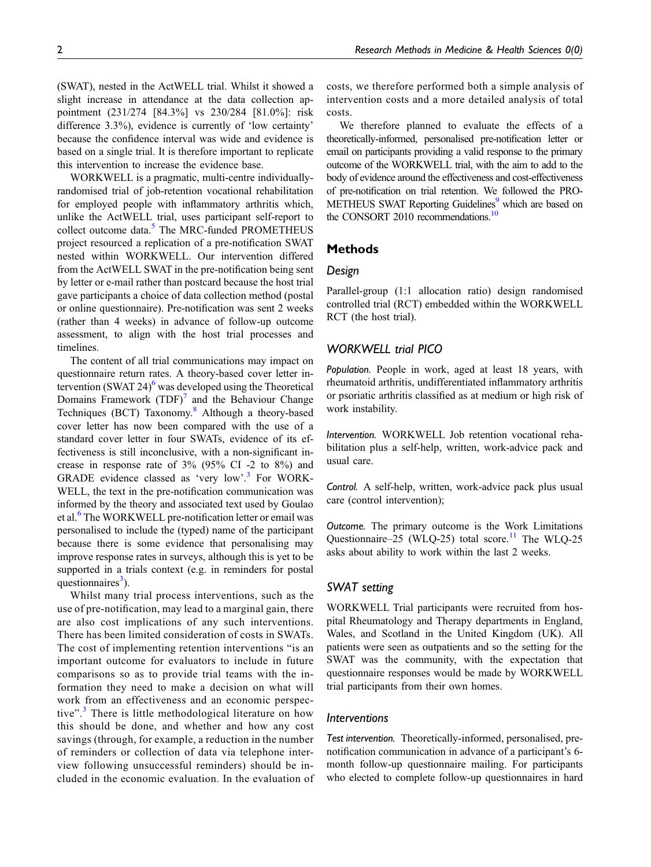this intervention to increase the evidence base. WORKWELL is a pragmatic, multi-centre individuallyrandomised trial of job-retention vocational rehabilitation for employed people with inflammatory arthritis which, unlike the ActWELL trial, uses participant self-report to collect outcome data.<sup>[5](#page-8-4)</sup> The MRC-funded PROMETHEUS project resourced a replication of a pre-notification SWAT nested within WORKWELL. Our intervention differed from the ActWELL SWAT in the pre-notification being sent by letter or e-mail rather than postcard because the host trial gave participants a choice of data collection method (postal or online questionnaire). Pre-notification was sent 2 weeks (rather than 4 weeks) in advance of follow-up outcome assessment, to align with the host trial processes and timelines.

based on a single trial. It is therefore important to replicate

The content of all trial communications may impact on questionnaire return rates. A theory-based cover letter intervention (SWAT 24) $<sup>6</sup>$  $<sup>6</sup>$  $<sup>6</sup>$  was developed using the Theoretical</sup> Domains Framework  $(TDF)<sup>7</sup>$  $(TDF)<sup>7</sup>$  $(TDF)<sup>7</sup>$  and the Behaviour Change Techniques (BCT) Taxonomy.<sup>[8](#page-8-7)</sup> Although a theory-based cover letter has now been compared with the use of a standard cover letter in four SWATs, evidence of its effectiveness is still inconclusive, with a non-significant increase in response rate of 3% (95% CI -2 to 8%) and GRADE evidence classed as 'very low'. [3](#page-8-2) For WORK-WELL, the text in the pre-notification communication was informed by the theory and associated text used by Goulao et al.<sup>[6](#page-8-5)</sup> The WORKWELL pre-notification letter or email was personalised to include the (typed) name of the participant because there is some evidence that personalising may improve response rates in surveys, although this is yet to be supported in a trials context (e.g. in reminders for postal questionnaires<sup>[3](#page-8-2)</sup>).

Whilst many trial process interventions, such as the use of pre-notification, may lead to a marginal gain, there are also cost implications of any such interventions. There has been limited consideration of costs in SWATs. The cost of implementing retention interventions "is an important outcome for evaluators to include in future comparisons so as to provide trial teams with the information they need to make a decision on what will work from an effectiveness and an economic perspective". [3](#page-8-2) There is little methodological literature on how this should be done, and whether and how any cost savings (through, for example, a reduction in the number of reminders or collection of data via telephone interview following unsuccessful reminders) should be included in the economic evaluation. In the evaluation of costs, we therefore performed both a simple analysis of intervention costs and a more detailed analysis of total costs.

We therefore planned to evaluate the effects of a theoretically-informed, personalised pre-notification letter or email on participants providing a valid response to the primary outcome of the WORKWELL trial, with the aim to add to the body of evidence around the effectiveness and cost-effectiveness of pre-notification on trial retention. We followed the PRO-METHEUS SWAT Reporting Guidelines<sup>9</sup> which are based on the CONSORT 2010 recommendations.<sup>10</sup>

## **Methods**

## Design

Parallel-group (1:1 allocation ratio) design randomised controlled trial (RCT) embedded within the WORKWELL RCT (the host trial).

## WORKWELL trial PICO

Population. People in work, aged at least 18 years, with rheumatoid arthritis, undifferentiated inflammatory arthritis or psoriatic arthritis classified as at medium or high risk of work instability.

Intervention. WORKWELL Job retention vocational rehabilitation plus a self-help, written, work-advice pack and usual care.

Control. A self-help, written, work-advice pack plus usual care (control intervention);

Outcome. The primary outcome is the Work Limitations Questionnaire–25 (WLQ-25) total score.<sup>[11](#page-8-10)</sup> The WLQ-25 asks about ability to work within the last 2 weeks.

## SWAT setting

WORKWELL Trial participants were recruited from hospital Rheumatology and Therapy departments in England, Wales, and Scotland in the United Kingdom (UK). All patients were seen as outpatients and so the setting for the SWAT was the community, with the expectation that questionnaire responses would be made by WORKWELL trial participants from their own homes.

## Interventions

Test intervention. Theoretically-informed, personalised, prenotification communication in advance of a participant's 6 month follow-up questionnaire mailing. For participants who elected to complete follow-up questionnaires in hard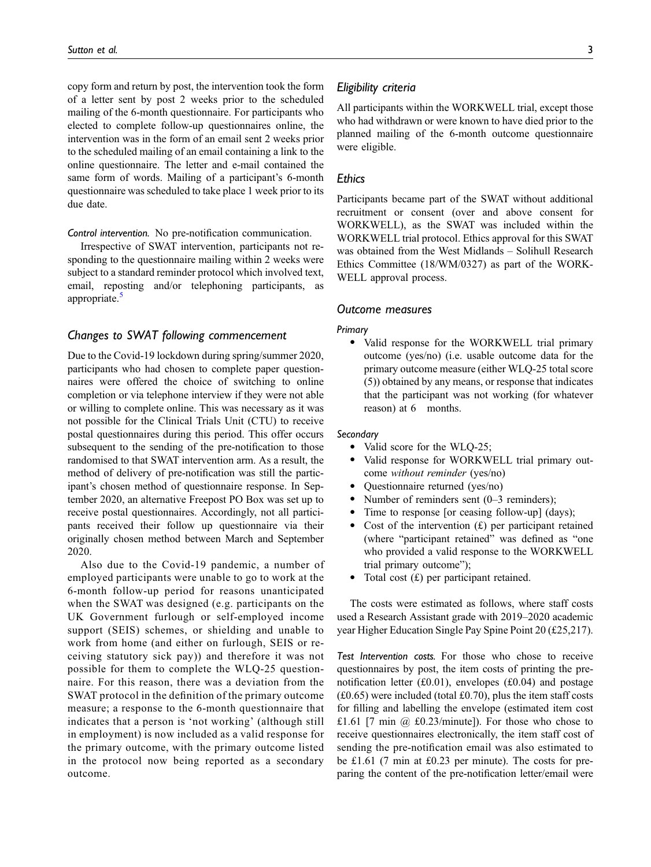copy form and return by post, the intervention took the form of a letter sent by post 2 weeks prior to the scheduled mailing of the 6-month questionnaire. For participants who elected to complete follow-up questionnaires online, the intervention was in the form of an email sent 2 weeks prior to the scheduled mailing of an email containing a link to the online questionnaire. The letter and e-mail contained the same form of words. Mailing of a participant's 6-month questionnaire was scheduled to take place 1 week prior to its due date.

Control intervention. No pre-notification communication.

Irrespective of SWAT intervention, participants not responding to the questionnaire mailing within 2 weeks were subject to a standard reminder protocol which involved text, email, reposting and/or telephoning participants, as appropriate.<sup>[5](#page-8-4)</sup>

## Changes to SWAT following commencement

Due to the Covid-19 lockdown during spring/summer 2020, participants who had chosen to complete paper questionnaires were offered the choice of switching to online completion or via telephone interview if they were not able or willing to complete online. This was necessary as it was not possible for the Clinical Trials Unit (CTU) to receive postal questionnaires during this period. This offer occurs subsequent to the sending of the pre-notification to those randomised to that SWAT intervention arm. As a result, the method of delivery of pre-notification was still the participant's chosen method of questionnaire response. In September 2020, an alternative Freepost PO Box was set up to receive postal questionnaires. Accordingly, not all participants received their follow up questionnaire via their originally chosen method between March and September 2020.

Also due to the Covid-19 pandemic, a number of employed participants were unable to go to work at the 6-month follow-up period for reasons unanticipated when the SWAT was designed (e.g. participants on the UK Government furlough or self-employed income support (SEIS) schemes, or shielding and unable to work from home (and either on furlough, SEIS or receiving statutory sick pay)) and therefore it was not possible for them to complete the WLQ-25 questionnaire. For this reason, there was a deviation from the SWAT protocol in the definition of the primary outcome measure; a response to the 6-month questionnaire that indicates that a person is 'not working' (although still in employment) is now included as a valid response for the primary outcome, with the primary outcome listed in the protocol now being reported as a secondary outcome.

## Eligibility criteria

All participants within the WORKWELL trial, except those who had withdrawn or were known to have died prior to the planned mailing of the 6-month outcome questionnaire were eligible.

## **Ethics**

Participants became part of the SWAT without additional recruitment or consent (over and above consent for WORKWELL), as the SWAT was included within the WORKWELL trial protocol. Ethics approval for this SWAT was obtained from the West Midlands – Solihull Research Ethics Committee (18/WM/0327) as part of the WORK-WELL approval process.

## Outcome measures

#### Primary

· Valid response for the WORKWELL trial primary outcome (yes/no) (i.e. usable outcome data for the primary outcome measure (either WLQ-25 total score (5)) obtained by any means, or response that indicates that the participant was not working (for whatever reason) at 6 months.

## **Secondary**

- Valid score for the WLQ-25;
- · Valid response for WORKWELL trial primary outcome without reminder (yes/no)
- · Questionnaire returned (yes/no)
- Number of reminders sent (0–3 reminders);
- Time to response [or ceasing follow-up] (days);
- Cost of the intervention  $(f)$  per participant retained (where "participant retained" was defined as "one who provided a valid response to the WORKWELL trial primary outcome");
- Total cost  $(f)$  per participant retained.

The costs were estimated as follows, where staff costs used a Research Assistant grade with 2019–2020 academic year Higher Education Single Pay Spine Point 20 (£25,217).

Test Intervention costs. For those who chose to receive questionnaires by post, the item costs of printing the prenotification letter (£0.01), envelopes (£0.04) and postage  $(£0.65)$  were included (total £0.70), plus the item staff costs for filling and labelling the envelope (estimated item cost £1.61 [7 min @ £0.23/minute]). For those who chose to receive questionnaires electronically, the item staff cost of sending the pre-notification email was also estimated to be £1.61 (7 min at £0.23 per minute). The costs for preparing the content of the pre-notification letter/email were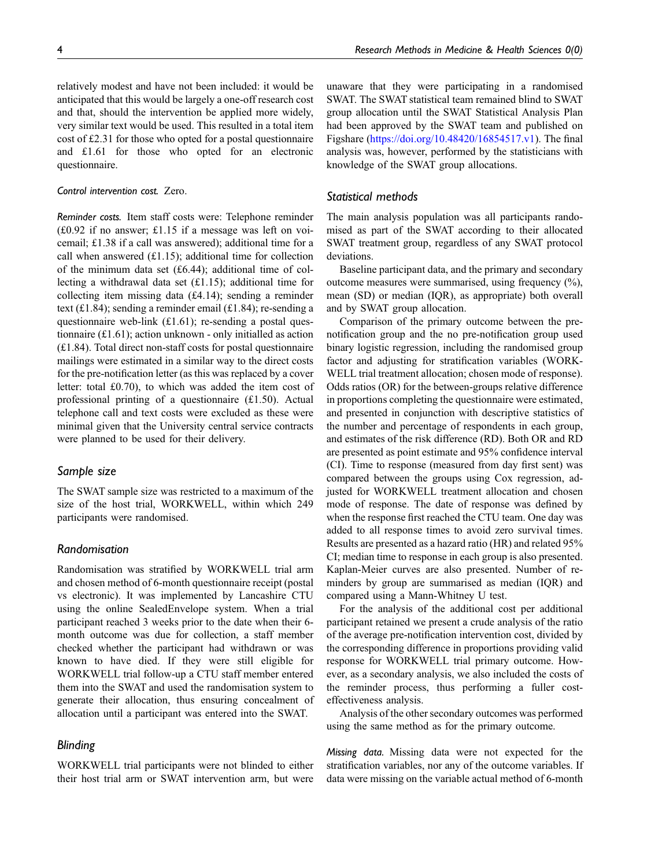relatively modest and have not been included: it would be anticipated that this would be largely a one-off research cost and that, should the intervention be applied more widely, very similar text would be used. This resulted in a total item cost of £2.31 for those who opted for a postal questionnaire and £1.61 for those who opted for an electronic questionnaire.

## Control intervention cost. Zero.

Reminder costs. Item staff costs were: Telephone reminder (£0.92 if no answer; £1.15 if a message was left on voicemail; £1.38 if a call was answered); additional time for a call when answered (£1.15); additional time for collection of the minimum data set  $(f6.44)$ ; additional time of collecting a withdrawal data set (£1.15); additional time for collecting item missing data (£4.14); sending a reminder text (£1.84); sending a reminder email (£1.84); re-sending a questionnaire web-link (£1.61); re-sending a postal questionnaire (£1.61); action unknown - only initialled as action (£1.84). Total direct non-staff costs for postal questionnaire mailings were estimated in a similar way to the direct costs for the pre-notification letter (as this was replaced by a cover letter: total £0.70), to which was added the item cost of professional printing of a questionnaire (£1.50). Actual telephone call and text costs were excluded as these were minimal given that the University central service contracts were planned to be used for their delivery.

## Sample size

The SWAT sample size was restricted to a maximum of the size of the host trial, WORKWELL, within which 249 participants were randomised.

## Randomisation

Randomisation was stratified by WORKWELL trial arm and chosen method of 6-month questionnaire receipt (postal vs electronic). It was implemented by Lancashire CTU using the online SealedEnvelope system. When a trial participant reached 3 weeks prior to the date when their 6 month outcome was due for collection, a staff member checked whether the participant had withdrawn or was known to have died. If they were still eligible for WORKWELL trial follow-up a CTU staff member entered them into the SWAT and used the randomisation system to generate their allocation, thus ensuring concealment of allocation until a participant was entered into the SWAT.

## Blinding

WORKWELL trial participants were not blinded to either their host trial arm or SWAT intervention arm, but were unaware that they were participating in a randomised SWAT. The SWAT statistical team remained blind to SWAT group allocation until the SWAT Statistical Analysis Plan had been approved by the SWAT team and published on Figshare ([https://doi.org/10.48420/16854517.v1\)](https://doi.org/10.48420/16854517.v1). The final analysis was, however, performed by the statisticians with knowledge of the SWAT group allocations.

## Statistical methods

The main analysis population was all participants randomised as part of the SWAT according to their allocated SWAT treatment group, regardless of any SWAT protocol deviations.

Baseline participant data, and the primary and secondary outcome measures were summarised, using frequency (%), mean (SD) or median (IQR), as appropriate) both overall and by SWAT group allocation.

Comparison of the primary outcome between the prenotification group and the no pre-notification group used binary logistic regression, including the randomised group factor and adjusting for stratification variables (WORK-WELL trial treatment allocation; chosen mode of response). Odds ratios (OR) for the between-groups relative difference in proportions completing the questionnaire were estimated, and presented in conjunction with descriptive statistics of the number and percentage of respondents in each group, and estimates of the risk difference (RD). Both OR and RD are presented as point estimate and 95% confidence interval (CI). Time to response (measured from day first sent) was compared between the groups using Cox regression, adjusted for WORKWELL treatment allocation and chosen mode of response. The date of response was defined by when the response first reached the CTU team. One day was added to all response times to avoid zero survival times. Results are presented as a hazard ratio (HR) and related 95% CI; median time to response in each group is also presented. Kaplan-Meier curves are also presented. Number of reminders by group are summarised as median (IQR) and compared using a Mann-Whitney U test.

For the analysis of the additional cost per additional participant retained we present a crude analysis of the ratio of the average pre-notification intervention cost, divided by the corresponding difference in proportions providing valid response for WORKWELL trial primary outcome. However, as a secondary analysis, we also included the costs of the reminder process, thus performing a fuller costeffectiveness analysis.

Analysis of the other secondary outcomes was performed using the same method as for the primary outcome.

Missing data. Missing data were not expected for the stratification variables, nor any of the outcome variables. If data were missing on the variable actual method of 6-month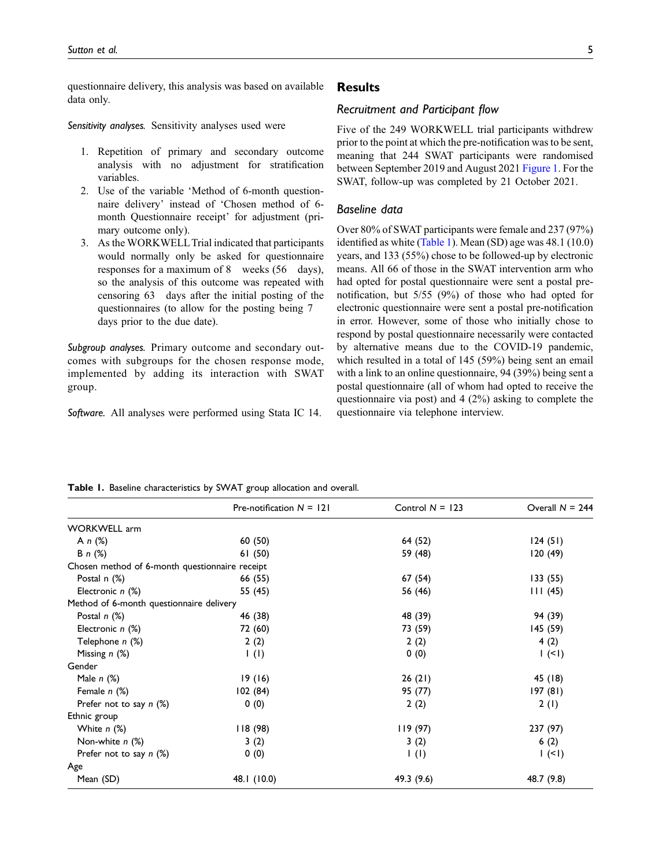questionnaire delivery, this analysis was based on available data only.

Sensitivity analyses. Sensitivity analyses used were

- 1. Repetition of primary and secondary outcome analysis with no adjustment for stratification variables.
- 2. Use of the variable 'Method of 6-month questionnaire delivery' instead of 'Chosen method of 6 month Questionnaire receipt' for adjustment (primary outcome only).
- 3. As the WORKWELLTrial indicated that participants would normally only be asked for questionnaire responses for a maximum of 8 weeks (56 days), so the analysis of this outcome was repeated with censoring 63 days after the initial posting of the questionnaires (to allow for the posting being 7 days prior to the due date).

Subgroup analyses. Primary outcome and secondary outcomes with subgroups for the chosen response mode, implemented by adding its interaction with SWAT group.

Software. All analyses were performed using Stata IC 14.

**Results** 

## Recruitment and Participant flow

Five of the 249 WORKWELL trial participants withdrew prior to the point at which the pre-notification was to be sent, meaning that 244 SWAT participants were randomised between September 2019 and August 2021 [Figure 1.](#page-5-0) For the SWAT, follow-up was completed by 21 October 2021.

## Baseline data

Over 80% of SWAT participants were female and 237 (97%) identified as white ([Table 1\)](#page-4-0). Mean (SD) age was 48.1 (10.0) years, and 133 (55%) chose to be followed-up by electronic means. All 66 of those in the SWAT intervention arm who had opted for postal questionnaire were sent a postal prenotification, but 5/55 (9%) of those who had opted for electronic questionnaire were sent a postal pre-notification in error. However, some of those who initially chose to respond by postal questionnaire necessarily were contacted by alternative means due to the COVID-19 pandemic, which resulted in a total of 145 (59%) being sent an email with a link to an online questionnaire, 94 (39%) being sent a postal questionnaire (all of whom had opted to receive the questionnaire via post) and 4 (2%) asking to complete the questionnaire via telephone interview.

|                                                | Pre-notification $N = 121$ | Control $N = 123$        | Overall $N = 244$ |
|------------------------------------------------|----------------------------|--------------------------|-------------------|
| <b>WORKWELL</b> arm                            |                            |                          |                   |
| A n (%)                                        | 60 (50)                    | 64 (52)                  | 124(51)           |
| <b>B</b> $n$ (%)                               | 61(50)                     | 59 (48)                  | 120 (49)          |
| Chosen method of 6-month questionnaire receipt |                            |                          |                   |
| Postal n (%)                                   | 66 (55)                    | 67 (54)                  | 133(55)           |
| Electronic $n$ $(\%)$                          | 55 (45)                    | 56 (46)                  | 111(45)           |
| Method of 6-month questionnaire delivery       |                            |                          |                   |
| Postal $n$ $(\%)$                              | 46 (38)                    | 48 (39)                  | 94 (39)           |
| Electronic $n$ $(\%)$                          | 72 (60)                    | 73 (59)                  | 145 (59)          |
| Telephone n (%)                                | 2(2)                       | 2(2)                     | 4(2)              |
| Missing $n$ $(\%)$                             | $\mathsf{I}(\mathsf{I})$   | 0(0)                     | $1 (-1)$          |
| Gender                                         |                            |                          |                   |
| Male $n$ $(\%)$                                | 19(16)                     | 26(21)                   | 45 (18)           |
| Female $n$ $(\%)$                              | 102(84)                    | 95 (77)                  | 197(81)           |
| Prefer not to say $n$ (%)                      | 0(0)                       | 2(2)                     | 2(1)              |
| Ethnic group                                   |                            |                          |                   |
| White $n$ $%$                                  | 118(98)                    | 119(97)                  | 237 (97)          |
| Non-white $n$ $(\%)$                           | 3(2)                       | 3(2)                     | 6(2)              |
| Prefer not to say $n$ (%)                      | 0(0)                       | $\mathsf{I}(\mathsf{I})$ | (1)               |
| Age                                            |                            |                          |                   |
| Mean (SD)                                      | 48.1 (10.0)                | 49.3 (9.6)               | 48.7 (9.8)        |

<span id="page-4-0"></span>Table 1. Baseline characteristics by SWAT group allocation and overall.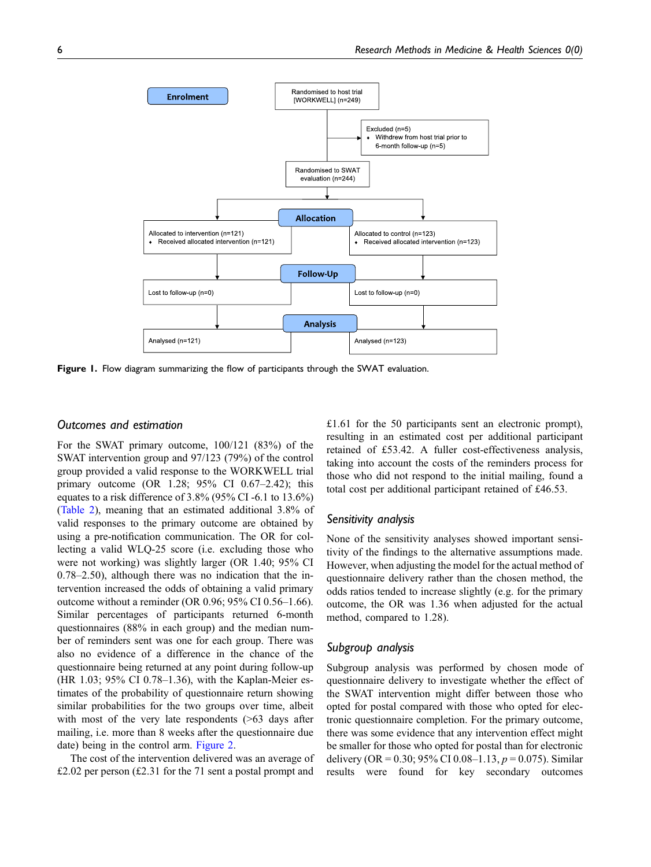

<span id="page-5-0"></span>Figure 1. Flow diagram summarizing the flow of participants through the SWAT evaluation.

## Outcomes and estimation

For the SWAT primary outcome, 100/121 (83%) of the SWAT intervention group and 97/123 (79%) of the control group provided a valid response to the WORKWELL trial primary outcome (OR 1.28; 95% CI 0.67–2.42); this equates to a risk difference of 3.8% (95% CI -6.1 to 13.6%) ([Table 2\)](#page-6-0), meaning that an estimated additional 3.8% of valid responses to the primary outcome are obtained by using a pre-notification communication. The OR for collecting a valid WLQ-25 score (i.e. excluding those who were not working) was slightly larger (OR 1.40; 95% CI 0.78–2.50), although there was no indication that the intervention increased the odds of obtaining a valid primary outcome without a reminder (OR 0.96; 95% CI 0.56–1.66). Similar percentages of participants returned 6-month questionnaires (88% in each group) and the median number of reminders sent was one for each group. There was also no evidence of a difference in the chance of the questionnaire being returned at any point during follow-up (HR 1.03; 95% CI 0.78–1.36), with the Kaplan-Meier estimates of the probability of questionnaire return showing similar probabilities for the two groups over time, albeit with most of the very late respondents ( $>63$  days after mailing, i.e. more than 8 weeks after the questionnaire due date) being in the control arm. [Figure 2.](#page-7-0)

The cost of the intervention delivered was an average of £2.02 per person (£2.31 for the 71 sent a postal prompt and £1.61 for the 50 participants sent an electronic prompt), resulting in an estimated cost per additional participant retained of £53.42. A fuller cost-effectiveness analysis, taking into account the costs of the reminders process for those who did not respond to the initial mailing, found a total cost per additional participant retained of £46.53.

#### Sensitivity analysis

None of the sensitivity analyses showed important sensitivity of the findings to the alternative assumptions made. However, when adjusting the model for the actual method of questionnaire delivery rather than the chosen method, the odds ratios tended to increase slightly (e.g. for the primary outcome, the OR was 1.36 when adjusted for the actual method, compared to 1.28).

## Subgroup analysis

Subgroup analysis was performed by chosen mode of questionnaire delivery to investigate whether the effect of the SWAT intervention might differ between those who opted for postal compared with those who opted for electronic questionnaire completion. For the primary outcome, there was some evidence that any intervention effect might be smaller for those who opted for postal than for electronic delivery (OR = 0.30; 95% CI 0.08–1.13,  $p = 0.075$ ). Similar results were found for key secondary outcomes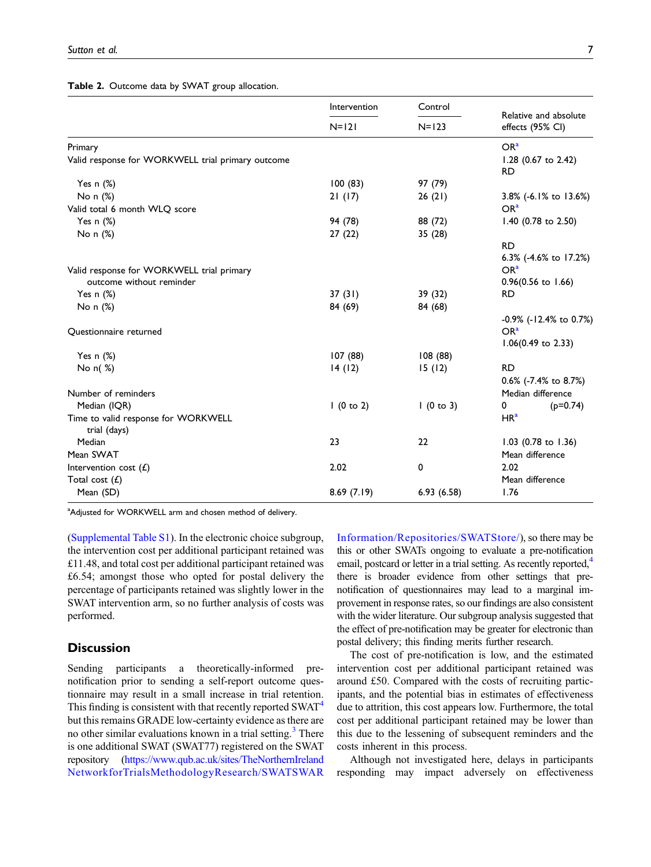<span id="page-6-0"></span>Table 2. Outcome data by SWAT group allocation.

|                                                     | Intervention<br>$N=121$ | Control<br>$N=123$ | Relative and absolute<br>effects (95% CI) |
|-----------------------------------------------------|-------------------------|--------------------|-------------------------------------------|
|                                                     |                         |                    |                                           |
| Primary                                             |                         |                    | OR <sup>a</sup>                           |
| Valid response for WORKWELL trial primary outcome   |                         |                    | $1.28$ (0.67 to 2.42)<br><b>RD</b>        |
| Yes $n$ $(\%)$                                      | 100(83)                 | 97 (79)            |                                           |
| No n (%)                                            | 21(17)                  | 26(21)             | 3.8% (-6.1% to 13.6%)                     |
| Valid total 6 month WLQ score                       |                         |                    | OR <sup>a</sup>                           |
| Yes $n$ $(\%)$                                      | 94 (78)                 | 88 (72)            | 1.40 (0.78 to 2.50)                       |
| No n (%)                                            | 27(22)                  | 35 (28)            |                                           |
|                                                     |                         |                    | <b>RD</b>                                 |
|                                                     |                         |                    | 6.3% (-4.6% to 17.2%)                     |
| Valid response for WORKWELL trial primary           |                         |                    | OR <sup>a</sup>                           |
| outcome without reminder                            |                         |                    | $0.96(0.56 \text{ to } 1.66)$             |
| Yes $n$ $(\%)$                                      | 37(31)                  | 39 (32)            | <b>RD</b>                                 |
| No n (%)                                            | 84 (69)                 | 84 (68)            |                                           |
|                                                     |                         |                    | $-0.9\%$ ( $-12.4\%$ to 0.7%)             |
| Questionnaire returned                              |                         |                    | OR <sup>a</sup>                           |
|                                                     |                         |                    | $1.06(0.49 \text{ to } 2.33)$             |
| Yes $n$ $(\%)$                                      | 107(88)                 | 108(88)            |                                           |
| No $n( %)$                                          | 14(12)                  | 15(12)             | <b>RD</b>                                 |
|                                                     |                         |                    | 0.6% (-7.4% to 8.7%)                      |
| Number of reminders                                 |                         |                    | Median difference                         |
| Median (IQR)                                        | 1(0 to 2)               | 1(0 to 3)          | 0<br>$(p=0.74)$                           |
| Time to valid response for WORKWELL<br>trial (days) |                         |                    | HR <sup>a</sup>                           |
| Median                                              | 23                      | 22                 | 1.03 (0.78 to 1.36)                       |
| Mean SWAT                                           |                         |                    | Mean difference                           |
| Intervention cost $(E)$                             | 2.02                    | 0                  | 2.02                                      |
| Total cost $(f)$                                    |                         |                    | Mean difference                           |
| Mean (SD)                                           | 8.69(7.19)              | 6.93(6.58)         | 1.76                                      |

<span id="page-6-1"></span><sup>a</sup>Adjusted for WORKWELL arm and chosen method of delivery.

[\(Supplemental Table S1\)](https://journals.sagepub.com/doi/suppl/10.1177/2632084322109842710.1177/26320843221098427). In the electronic choice subgroup, the intervention cost per additional participant retained was £11.48, and total cost per additional participant retained was £6.54; amongst those who opted for postal delivery the percentage of participants retained was slightly lower in the SWAT intervention arm, so no further analysis of costs was performed.

## **Discussion**

Sending participants a theoretically-informed prenotification prior to sending a self-report outcome questionnaire may result in a small increase in trial retention. This finding is consistent with that recently reported SWAT<sup>[4](#page-8-3)</sup> but this remains GRADE low-certainty evidence as there are no other similar evaluations known in a trial setting.<sup>[3](#page-8-2)</sup> There is one additional SWAT (SWAT77) registered on the SWAT repository [\(https://www.qub.ac.uk/sites/TheNorthernIreland](https://www.qub.ac.uk/sites/TheNorthernIrelandNetworkforTrialsMethodologyResearch/SWATSWARInformation/Repositories/SWATStore/) [NetworkforTrialsMethodologyResearch/SWATSWAR](https://www.qub.ac.uk/sites/TheNorthernIrelandNetworkforTrialsMethodologyResearch/SWATSWARInformation/Repositories/SWATStore/)

[Information/Repositories/SWATStore/\)](https://www.qub.ac.uk/sites/TheNorthernIrelandNetworkforTrialsMethodologyResearch/SWATSWARInformation/Repositories/SWATStore/), so there may be this or other SWATs ongoing to evaluate a pre-notification email, postcard or letter in a trial setting. As recently reported,<sup>4</sup> there is broader evidence from other settings that prenotification of questionnaires may lead to a marginal improvement in response rates, so our findings are also consistent with the wider literature. Our subgroup analysis suggested that the effect of pre-notification may be greater for electronic than postal delivery; this finding merits further research.

The cost of pre-notification is low, and the estimated intervention cost per additional participant retained was around £50. Compared with the costs of recruiting participants, and the potential bias in estimates of effectiveness due to attrition, this cost appears low. Furthermore, the total cost per additional participant retained may be lower than this due to the lessening of subsequent reminders and the costs inherent in this process.

Although not investigated here, delays in participants responding may impact adversely on effectiveness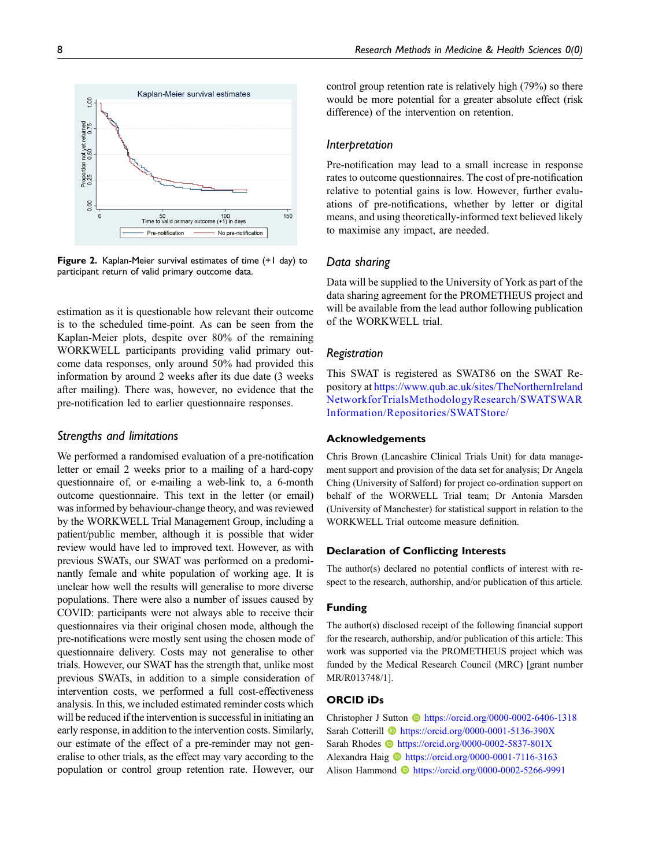

<span id="page-7-0"></span>Figure 2. Kaplan-Meier survival estimates of time (+1 day) to participant return of valid primary outcome data.

estimation as it is questionable how relevant their outcome is to the scheduled time-point. As can be seen from the Kaplan-Meier plots, despite over 80% of the remaining WORKWELL participants providing valid primary outcome data responses, only around 50% had provided this information by around 2 weeks after its due date (3 weeks after mailing). There was, however, no evidence that the pre-notification led to earlier questionnaire responses.

## Strengths and limitations

We performed a randomised evaluation of a pre-notification letter or email 2 weeks prior to a mailing of a hard-copy questionnaire of, or e-mailing a web-link to, a 6-month outcome questionnaire. This text in the letter (or email) was informed by behaviour-change theory, and was reviewed by the WORKWELL Trial Management Group, including a patient/public member, although it is possible that wider review would have led to improved text. However, as with previous SWATs, our SWAT was performed on a predominantly female and white population of working age. It is unclear how well the results will generalise to more diverse populations. There were also a number of issues caused by COVID: participants were not always able to receive their questionnaires via their original chosen mode, although the pre-notifications were mostly sent using the chosen mode of questionnaire delivery. Costs may not generalise to other trials. However, our SWAT has the strength that, unlike most previous SWATs, in addition to a simple consideration of intervention costs, we performed a full cost-effectiveness analysis. In this, we included estimated reminder costs which will be reduced if the intervention is successful in initiating an early response, in addition to the intervention costs. Similarly, our estimate of the effect of a pre-reminder may not generalise to other trials, as the effect may vary according to the population or control group retention rate. However, our control group retention rate is relatively high (79%) so there would be more potential for a greater absolute effect (risk difference) of the intervention on retention.

## Interpretation

Pre-notification may lead to a small increase in response rates to outcome questionnaires. The cost of pre-notification relative to potential gains is low. However, further evaluations of pre-notifications, whether by letter or digital means, and using theoretically-informed text believed likely to maximise any impact, are needed.

## Data sharing

Data will be supplied to the University of York as part of the data sharing agreement for the PROMETHEUS project and will be available from the lead author following publication of the WORKWELL trial.

## Registration

This SWAT is registered as SWAT86 on the SWAT Repository at [https://www.qub.ac.uk/sites/TheNorthernIreland](https://www.qub.ac.uk/sites/TheNorthernIrelandNetworkforTrialsMethodologyResearch/SWATSWARInformation/Repositories/SWATStore/) [NetworkforTrialsMethodologyResearch/SWATSWAR](https://www.qub.ac.uk/sites/TheNorthernIrelandNetworkforTrialsMethodologyResearch/SWATSWARInformation/Repositories/SWATStore/) [Information/Repositories/SWATStore/](https://www.qub.ac.uk/sites/TheNorthernIrelandNetworkforTrialsMethodologyResearch/SWATSWARInformation/Repositories/SWATStore/)

## Acknowledgements

Chris Brown (Lancashire Clinical Trials Unit) for data management support and provision of the data set for analysis; Dr Angela Ching (University of Salford) for project co-ordination support on behalf of the WORWELL Trial team; Dr Antonia Marsden (University of Manchester) for statistical support in relation to the WORKWELL Trial outcome measure definition.

## Declaration of Conflicting Interests

The author(s) declared no potential conflicts of interest with respect to the research, authorship, and/or publication of this article.

## Funding

The author(s) disclosed receipt of the following financial support for the research, authorship, and/or publication of this article: This work was supported via the PROMETHEUS project which was funded by the Medical Research Council (MRC) [grant number MR/R013748/1].

## ORCID iDs

Christopher J Sutton **b** <https://orcid.org/0000-0002-6406-1318> Sarah Cotterill **b** <https://orcid.org/0000-0001-5136-390X> Sarah Rhodes  $\bullet$  <https://orcid.org/0000-0002-5837-801X> Alexandra Haig **b** <https://orcid.org/0000-0001-7116-3163> Alison Hammond **b** <https://orcid.org/0000-0002-5266-9991>